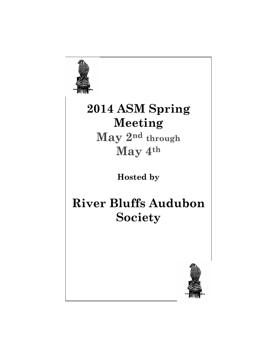

# **2014 ASM Spring Meeting**

**May 2nd through May 4th**

**Hosted by** 

## **River Bluffs Audubon Society**

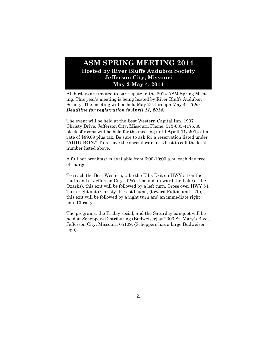## **ASM SPRING MEETING 2014 Hosted by River Bluffs Audubon Society Jefferson City, Missouri May 2-May 4, 2014**

All birders are invited to participate in the 2014 ASM Spring Meeting. This year's meeting is being hosted by River Bluffs Audubon Society. The meeting will be held May 2nd through May 4th. *The Deadline for registration is April 11, 2014.* 

The event will be held at the Best Western Capital Inn, 1937 Christy Drive, Jefferson City, Missouri. Phone: 573-635-4175. A block of rooms will be held for the meeting until **April 11, 2014** at a rate of \$89.09 plus tax. Be sure to ask for a reservation listed under "**AUDUBON."** To receive the special rate, it is best to call the local number listed above.

A full hot breakfast is available from 6:00-10:00 a.m. each day free of charge.

To reach the Best Western, take the Ellis Exit on HWY 54 on the south end of Jefferson City. If West bound, (toward the Lake of the Ozarks), this exit will be followed by a left turn. Cross over HWY 54. Turn right onto Christy. If East bound, (toward Fulton and I-70), this exit will be followed by a right turn and an immediate right onto Christy.

The programs, the Friday social, and the Saturday banquet will be held at Scheppers Distributing (Budweiser) at 2300 St. Mary's Blvd., Jefferson City, Missouri, 65109. (Scheppers has a large Budweiser sign).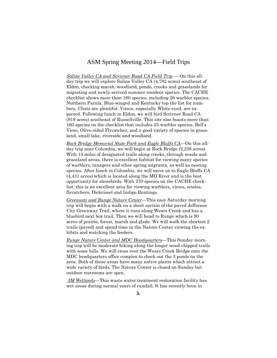## ASM Spring Meeting 2014—Field Trips

*Saline Valley CA and Scrivner Road CA Field Trip* — On this allday trip we will explore Saline Valley CA (4,782 acres) southeast of Eldon, checking marsh, woodland, ponds, creeks and grasslands for migrating and newly-arrived summer resident species. The CACHE checklist shows more than 160 species, including 26 warbler species. Northern Parula, Blue-winged and Kentucky top the list for numbers. Chats are plentiful. Vireos, especially White-eyed, are expected. Following lunch in Eldon, we will bird Scrivner Road CA (919 acres) southeast of Russellville. This site also boasts more than 160 species on the checklist that includes 25 warbler species, Bell's Vireo, Olive-sided Flycatcher, and a good variety of species in grassland, small lake, riverside and woodland.

*Rock Bridge Memorial State Park and Eagle Bluffs CA*—On this allday trip near Columbia, we will begin at Rock Bridge (2,238 acres). With 15 miles of designated trails along creeks, through woods and grassland areas, there is excellent habitat for viewing many species of warblers, tanagers and other spring migrants, as well as nesting species. After lunch in Columbia, we will move on to Eagle Bluffs CA (4,431 acres) which is located along the MO River and is the best opportunity for shorebirds. With 270 species on the CACHE checklist, this is an excellent area for viewing warblers, vireos, orioles, flycatchers, Dickcissel and Indigo Buntings.

*Greenway and Runge Nature Center*—This easy Saturday morning trip will begin with a walk on a short section of the paved Jefferson City Greenway Trail, where it runs along Wears Creek and has a bluebird next box trail. Then we will head to Runge which is 90 acres of prairie, forest, marsh and glade. We will walk the shortest 2 trails (paved) and spend time in the Nature Center viewing the exhibits and watching the feeders.

*Runge Nature Center and MDC Headquarters*—This Sunday morning trip will be moderate hiking along the longer wood-chipped trails with some hills. We will cross over the Wears Creek Bridge onto the MDC headquarters office complex to check out the 3 ponds on the area. Both of these areas have many native plants which attract a wide variety of birds. The Nature Center is closed on Sunday but outdoor restrooms are open.

*3M Wetlands*—This waste water treatment restoration facility has wet areas during normal years of rainfall. It has recently been in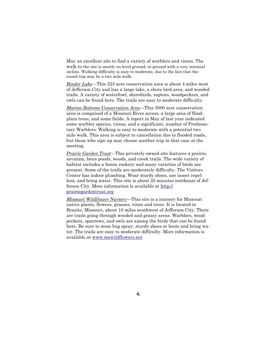May an excellent site to find a variety of warblers and vireos. The walk to the site is mostly on level ground, or ground with a very minimal incline. Walking difficulty is easy to moderate, due to the fact that the round trip may be a two mile walk.

*Binder Lake*—This 223 acre conservation area is about 4 miles west of Jefferson City and has a large lake, a shore bird area, and wooded trails. A variety of waterfowl, shorebirds, raptors, woodpeckers, and owls can be found here. The trails are easy to moderate difficulty.

*Marion Bottoms Conservation Area*—This 3000 acre conservation area is comprised of a Missouri River access, a large area of floodplain trees, and some fields. A report in May of last year indicated some warbler species, vireos, and a significant, number of Prothonotary Warblers. Walking is easy to moderate with a potential two mile walk. This area is subject to cancellation due to flooded roads, but those who sign up may choose another trip in that case at the meeting.

*Prairie Garden Trust*—This privately owned site features a prairie, savanna, lotus ponds, woods, and creek trails. The wide variety of habitat includes a heron rookery and many varieties of birds are present. Some of the trails are moderately difficulty. The Visitors Center has indoor plumbing. Wear sturdy shoes, use insect repellent, and bring water. This site is about 25 minutes northeast of Jefferson City. More information is available at http:// prairiegardentrust.org

*Missouri Wildflower Nursery*—This site is a nursery for Missouri native plants, flowers, grasses, vines and trees. It is located in Brazito, Missouri, about 10 miles southwest of Jefferson City. There are trails going through wooded and grassy areas. Warblers, woodpeckers, sparrows, and owls are among the birds that can be found here. Be sure to wear bug spray, sturdy shoes or boots and bring water. The trails are easy to moderate difficulty. More information is available at www.mowildflowers.net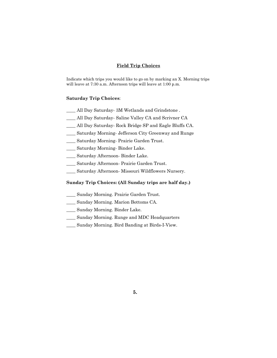#### **Field Trip Choices**

Indicate which trips you would like to go on by marking an X. Morning trips will leave at 7:30 a.m. Afternoon trips will leave at 1:00 p.m.

#### **Saturday Trip Choices**:

- \_\_\_\_ All Day Saturday- 3M Wetlands and Grindstone .
- \_\_\_\_ All Day Saturday- Saline Valley CA and Scrivner CA
- \_\_\_\_ All Day Saturday- Rock Bridge SP and Eagle Bluffs CA.
- \_\_\_\_ Saturday Morning- Jefferson City Greenway and Runge
- \_\_\_\_ Saturday Morning- Prairie Garden Trust.
- \_\_\_\_ Saturday Morning- Binder Lake.
- \_\_\_\_ Saturday Afternoon- Binder Lake.
- \_\_\_\_ Saturday Afternoon- Prairie Garden Trust.
- \_\_\_\_ Saturday Afternoon- Missouri Wildflowers Nursery.

#### **Sunday Trip Choices: (All Sunday trips are half day.)**

- **\_\_\_\_** Sunday Morning. Prairie Garden Trust.
- \_\_\_\_ Sunday Morning. Marion Bottoms CA.
- \_\_\_\_ Sunday Morning. Binder Lake.
- \_\_\_\_ Sunday Morning. Runge and MDC Headquarters
- \_\_\_\_ Sunday Morning. Bird Banding at Birds-I-View.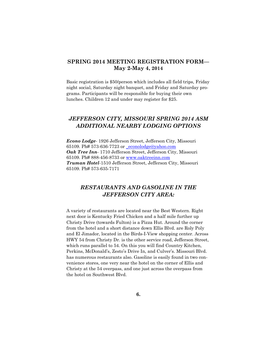## **SPRING 2014 MEETING REGISTRATION FORM— May 2-May 4, 2014**

Basic registration is \$50/person which includes all field trips, Friday night social, Saturday night banquet, and Friday and Saturday programs. Participants will be responsible for buying their own lunches. Children 12 and under may register for \$25.

## *JEFFERSON CITY, MISSOURI SPRING 2014 ASM ADDITIONAL NEARBY LODGING OPTIONS*

*Econo Lodge*- 1926 Jefferson Street, Jefferson City, Missouri 65109. Ph# 573-636-7723 or \_econolodge@yahoo.com *Oak Tree Inn*- 1710 Jefferson Street, Jefferson City, Missouri 65109. Ph# 888-456-8733 or www.oaktreeinn.com *Truman Hotel*-1510 Jefferson Street, Jefferson City, Missouri 65109. Ph# 573-635-7171

## *RESTAURANTS AND GASOLINE IN THE JEFFERSON CITY AREA:*

A variety of restaurants are located near the Best Western. Right next door is Kentucky Fried Chicken and a half mile further up Christy Drive (towards Fulton) is a Pizza Hut. Around the corner from the hotel and a short distance down Ellis Blvd. are Roly Poly and El Jimador, located in the Birds-I-View shopping center. Across HWY 54 from Christy Dr. is the other service road, Jefferson Street, which runs parallel to 54. On this you will find Country Kitchen, Perkins, McDonald's, Zesto's Drive In, and Culver's. Missouri Blvd. has numerous restaurants also. Gasoline is easily found in two convenience stores, one very near the hotel on the corner of Ellis and Christy at the 54 overpass, and one just across the overpass from the hotel on Southwest Blvd.